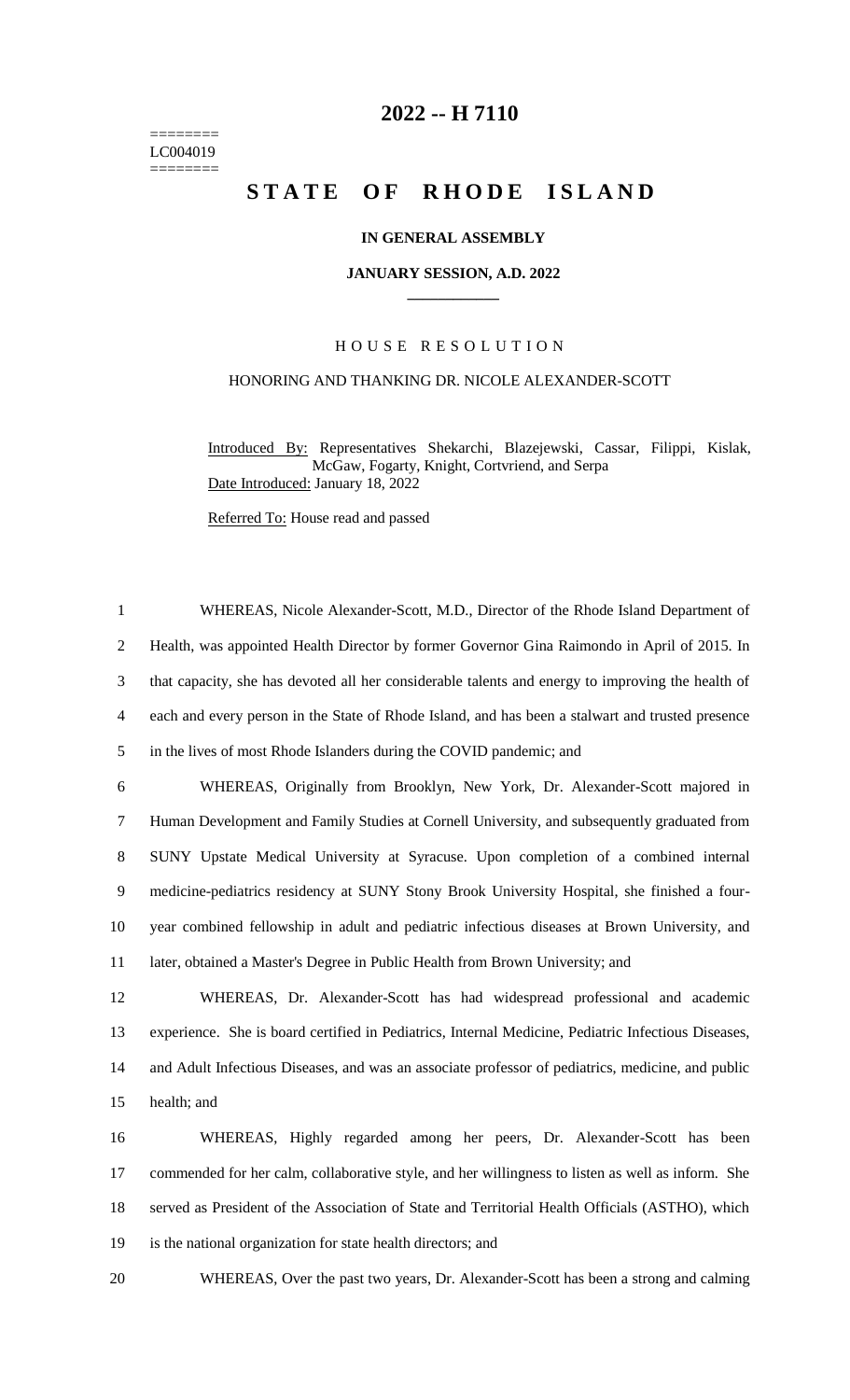======== LC004019 ========

## **-- H 7110**

# **STATE OF RHODE ISLAND**

### **IN GENERAL ASSEMBLY**

#### **JANUARY SESSION, A.D. 2022 \_\_\_\_\_\_\_\_\_\_\_\_**

#### H O U S E R E S O L U T I O N

## HONORING AND THANKING DR. NICOLE ALEXANDER-SCOTT

Introduced By: Representatives Shekarchi, Blazejewski, Cassar, Filippi, Kislak, McGaw, Fogarty, Knight, Cortvriend, and Serpa Date Introduced: January 18, 2022

Referred To: House read and passed

 WHEREAS, Nicole Alexander-Scott, M.D., Director of the Rhode Island Department of Health, was appointed Health Director by former Governor Gina Raimondo in April of 2015. In that capacity, she has devoted all her considerable talents and energy to improving the health of each and every person in the State of Rhode Island, and has been a stalwart and trusted presence in the lives of most Rhode Islanders during the COVID pandemic; and WHEREAS, Originally from Brooklyn, New York, Dr. Alexander-Scott majored in Human Development and Family Studies at Cornell University, and subsequently graduated from SUNY Upstate Medical University at Syracuse. Upon completion of a combined internal medicine-pediatrics residency at SUNY Stony Brook University Hospital, she finished a four- year combined fellowship in adult and pediatric infectious diseases at Brown University, and later, obtained a Master's Degree in Public Health from Brown University; and WHEREAS, Dr. Alexander-Scott has had widespread professional and academic experience. She is board certified in Pediatrics, Internal Medicine, Pediatric Infectious Diseases, and Adult Infectious Diseases, and was an associate professor of pediatrics, medicine, and public health; and WHEREAS, Highly regarded among her peers, Dr. Alexander-Scott has been commended for her calm, collaborative style, and her willingness to listen as well as inform. She served as President of the Association of State and Territorial Health Officials (ASTHO), which

is the national organization for state health directors; and

WHEREAS, Over the past two years, Dr. Alexander-Scott has been a strong and calming